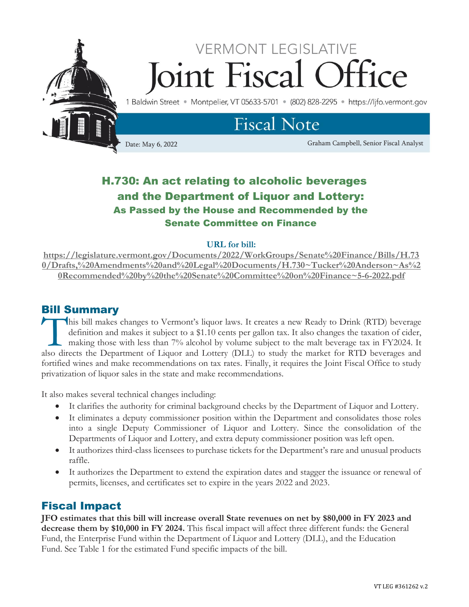

## H.730: An act relating to alcoholic beverages and the Department of Liquor and Lottery: As Passed by the House and Recommended by the Senate Committee on Finance

#### **URL for bill:**

**[https://legislature.vermont.gov/Documents/2022/WorkGroups/Senate%20Finance/Bills/H.73](https://legislature.vermont.gov/Documents/2022/WorkGroups/Senate%20Finance/Bills/H.730/Drafts,%20Amendments%20and%20Legal%20Documents/H.730~Tucker%20Anderson~As%20Recommended%20by%20the%20Senate%20Committee%20on%20Finance~5-6-2022.pdf) [0/Drafts,%20Amendments%20and%20Legal%20Documents/H.730~Tucker%20Anderson~As%2](https://legislature.vermont.gov/Documents/2022/WorkGroups/Senate%20Finance/Bills/H.730/Drafts,%20Amendments%20and%20Legal%20Documents/H.730~Tucker%20Anderson~As%20Recommended%20by%20the%20Senate%20Committee%20on%20Finance~5-6-2022.pdf) [0Recommended%20by%20the%20Senate%20Committee%20on%20Finance~5-6-2022.pdf](https://legislature.vermont.gov/Documents/2022/WorkGroups/Senate%20Finance/Bills/H.730/Drafts,%20Amendments%20and%20Legal%20Documents/H.730~Tucker%20Anderson~As%20Recommended%20by%20the%20Senate%20Committee%20on%20Finance~5-6-2022.pdf)**

### Bill Summary

his bill makes changes to Vermont's liquor laws. It creates a new Ready to Drink (RTD) beverage definition and makes it subject to a \$1.10 cents per gallon tax. It also changes the taxation of cider, making those with less than 7% alcohol by volume subject to the malt beverage tax in FY2024. It This bill makes changes to Vermont's liquor laws. It creates a new Ready to Drink (RTD) beverage definition and makes it subject to a \$1.10 cents per gallon tax. It also changes the taxation of cider, making those with les fortified wines and make recommendations on tax rates. Finally, it requires the Joint Fiscal Office to study privatization of liquor sales in the state and make recommendations.

It also makes several technical changes including:

- It clarifies the authority for criminal background checks by the Department of Liquor and Lottery.
- It eliminates a deputy commissioner position within the Department and consolidates those roles into a single Deputy Commissioner of Liquor and Lottery. Since the consolidation of the Departments of Liquor and Lottery, and extra deputy commissioner position was left open.
- It authorizes third-class licensees to purchase tickets for the Department's rare and unusual products raffle.
- It authorizes the Department to extend the expiration dates and stagger the issuance or renewal of permits, licenses, and certificates set to expire in the years 2022 and 2023.

## Fiscal Impact

**JFO estimates that this bill will increase overall State revenues on net by \$80,000 in FY 2023 and decrease them by \$10,000 in FY 2024.** This fiscal impact will affect three different funds: the General Fund, the Enterprise Fund within the Department of Liquor and Lottery (DLL), and the Education Fund. See Table 1 for the estimated Fund specific impacts of the bill.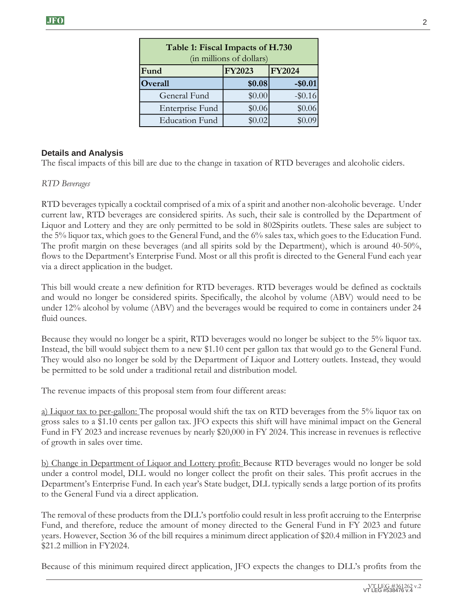| Table 1: Fiscal Impacts of H.730<br>(in millions of dollars) |               |               |
|--------------------------------------------------------------|---------------|---------------|
| Fund                                                         | <b>FY2023</b> | <b>FY2024</b> |
| Overall                                                      | \$0.08        | $-$0.01$      |
| General Fund                                                 | \$0.00        | $-$ \$0.16    |
| Enterprise Fund                                              | \$0.06        | \$0.06        |
| <b>Education Fund</b>                                        | \$0.02        |               |

#### **Details and Analysis**

The fiscal impacts of this bill are due to the change in taxation of RTD beverages and alcoholic ciders.

#### *RTD Beverages*

RTD beverages typically a cocktail comprised of a mix of a spirit and another non-alcoholic beverage. Under current law, RTD beverages are considered spirits. As such, their sale is controlled by the Department of Liquor and Lottery and they are only permitted to be sold in 802Spirits outlets. These sales are subject to the 5% liquor tax, which goes to the General Fund, and the 6% sales tax, which goes to the Education Fund. The profit margin on these beverages (and all spirits sold by the Department), which is around 40-50%, flows to the Department's Enterprise Fund. Most or all this profit is directed to the General Fund each year via a direct application in the budget.

This bill would create a new definition for RTD beverages. RTD beverages would be defined as cocktails and would no longer be considered spirits. Specifically, the alcohol by volume (ABV) would need to be under 12% alcohol by volume (ABV) and the beverages would be required to come in containers under 24 fluid ounces.

Because they would no longer be a spirit, RTD beverages would no longer be subject to the 5% liquor tax. Instead, the bill would subject them to a new \$1.10 cent per gallon tax that would go to the General Fund. They would also no longer be sold by the Department of Liquor and Lottery outlets. Instead, they would be permitted to be sold under a traditional retail and distribution model.

The revenue impacts of this proposal stem from four different areas:

a) Liquor tax to per-gallon: The proposal would shift the tax on RTD beverages from the 5% liquor tax on gross sales to a \$1.10 cents per gallon tax. JFO expects this shift will have minimal impact on the General Fund in FY 2023 and increase revenues by nearly \$20,000 in FY 2024. This increase in revenues is reflective of growth in sales over time.

b) Change in Department of Liquor and Lottery profit: Because RTD beverages would no longer be sold under a control model, DLL would no longer collect the profit on their sales. This profit accrues in the Department's Enterprise Fund. In each year's State budget, DLL typically sends a large portion of its profits to the General Fund via a direct application.

The removal of these products from the DLL's portfolio could result in less profit accruing to the Enterprise Fund, and therefore, reduce the amount of money directed to the General Fund in FY 2023 and future years. However, Section 36 of the bill requires a minimum direct application of \$20.4 million in FY2023 and \$21.2 million in FY2024.

Because of this minimum required direct application, JFO expects the changes to DLL's profits from the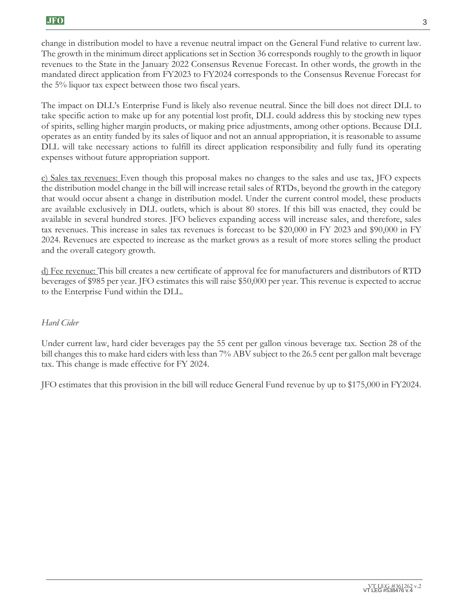change in distribution model to have a revenue neutral impact on the General Fund relative to current law. The growth in the minimum direct applications set in Section 36 corresponds roughly to the growth in liquor revenues to the State in the January 2022 Consensus Revenue Forecast. In other words, the growth in the mandated direct application from FY2023 to FY2024 corresponds to the Consensus Revenue Forecast for the 5% liquor tax expect between those two fiscal years.

The impact on DLL's Enterprise Fund is likely also revenue neutral. Since the bill does not direct DLL to take specific action to make up for any potential lost profit, DLL could address this by stocking new types of spirits, selling higher margin products, or making price adjustments, among other options. Because DLL operates as an entity funded by its sales of liquor and not an annual appropriation, it is reasonable to assume DLL will take necessary actions to fulfill its direct application responsibility and fully fund its operating expenses without future appropriation support.

c) Sales tax revenues: Even though this proposal makes no changes to the sales and use tax, JFO expects the distribution model change in the bill will increase retail sales of RTDs, beyond the growth in the category that would occur absent a change in distribution model. Under the current control model, these products are available exclusively in DLL outlets, which is about 80 stores. If this bill was enacted, they could be available in several hundred stores. JFO believes expanding access will increase sales, and therefore, sales tax revenues. This increase in sales tax revenues is forecast to be \$20,000 in FY 2023 and \$90,000 in FY 2024. Revenues are expected to increase as the market grows as a result of more stores selling the product and the overall category growth.

d) Fee revenue: This bill creates a new certificate of approval fee for manufacturers and distributors of RTD beverages of \$985 per year. JFO estimates this will raise \$50,000 per year. This revenue is expected to accrue to the Enterprise Fund within the DLL.

#### *Hard Cider*

Under current law, hard cider beverages pay the 55 cent per gallon vinous beverage tax. Section 28 of the bill changes this to make hard ciders with less than 7% ABV subject to the 26.5 cent per gallon malt beverage tax. This change is made effective for FY 2024.

JFO estimates that this provision in the bill will reduce General Fund revenue by up to \$175,000 in FY2024.